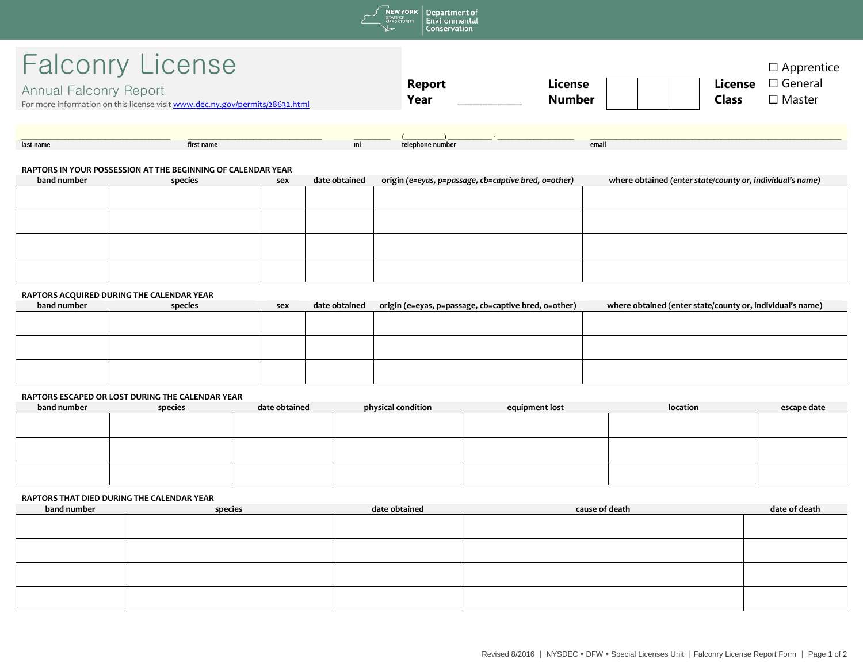

# Falconry License

| <b>Falconry License</b>                                                      |               |               |              | $\Box$ Apprentice |
|------------------------------------------------------------------------------|---------------|---------------|--------------|-------------------|
| Annual Falconry Report                                                       | <b>Report</b> | License       | License      | $\Box$ General    |
| For more information on this license visit www.dec.ny.gov/permits/28632.html | Year          | <b>Number</b> | <b>Class</b> | $\square$ Master  |

| last name | first name | ш | telephone number | email |
|-----------|------------|---|------------------|-------|

## **RAPTORS IN YOUR POSSESSION AT THE BEGINNING OF CALENDAR YEAR**

| band number | species | sex | date obtained | origin (e=eyas, p=passage, cb=captive bred, o=other) | where obtained (enter state/county or, individual's name) |
|-------------|---------|-----|---------------|------------------------------------------------------|-----------------------------------------------------------|
|             |         |     |               |                                                      |                                                           |
|             |         |     |               |                                                      |                                                           |
|             |         |     |               |                                                      |                                                           |
|             |         |     |               |                                                      |                                                           |
|             |         |     |               |                                                      |                                                           |
|             |         |     |               |                                                      |                                                           |
|             |         |     |               |                                                      |                                                           |
|             |         |     |               |                                                      |                                                           |

### **RAPTORS ACQUIRED DURING THE CALENDAR YEAR**

| band number | species | sex | date obtained | origin (e=eyas, p=passage, cb=captive bred, o=other) | where obtained (enter state/county or, individual's name) |
|-------------|---------|-----|---------------|------------------------------------------------------|-----------------------------------------------------------|
|             |         |     |               |                                                      |                                                           |
|             |         |     |               |                                                      |                                                           |
|             |         |     |               |                                                      |                                                           |
|             |         |     |               |                                                      |                                                           |
|             |         |     |               |                                                      |                                                           |
|             |         |     |               |                                                      |                                                           |

## **RAPTORS ESCAPED OR LOST DURING THE CALENDAR YEAR**

| band number | species | date obtained | physical condition | equipment lost | location | escape date |
|-------------|---------|---------------|--------------------|----------------|----------|-------------|
|             |         |               |                    |                |          |             |
|             |         |               |                    |                |          |             |
|             |         |               |                    |                |          |             |
|             |         |               |                    |                |          |             |
|             |         |               |                    |                |          |             |
|             |         |               |                    |                |          |             |

### **RAPTORS THAT DIED DURING THE CALENDAR YEAR**

| band number | species | date obtained | cause of death | date of death |
|-------------|---------|---------------|----------------|---------------|
|             |         |               |                |               |
|             |         |               |                |               |
|             |         |               |                |               |
|             |         |               |                |               |